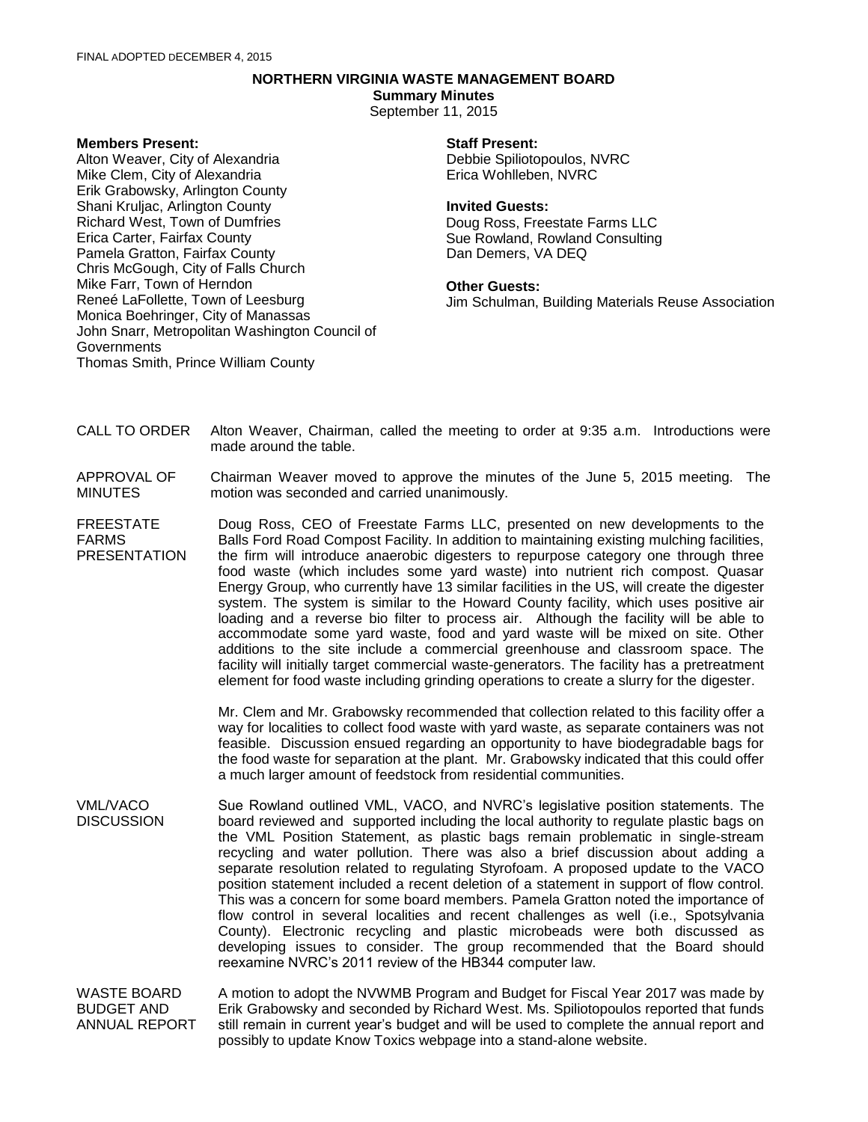# **NORTHERN VIRGINIA WASTE MANAGEMENT BOARD**

**Summary Minutes**

September 11, 2015

## **Members Present:**

Alton Weaver, City of Alexandria Mike Clem, City of Alexandria Erik Grabowsky, Arlington County Shani Kruljac, Arlington County Richard West, Town of Dumfries Erica Carter, Fairfax County Pamela Gratton, Fairfax County Chris McGough, City of Falls Church Mike Farr, Town of Herndon Reneé LaFollette, Town of Leesburg Monica Boehringer, City of Manassas John Snarr, Metropolitan Washington Council of **Governments** Thomas Smith, Prince William County

## **Staff Present:**

Debbie Spiliotopoulos, NVRC Erica Wohlleben, NVRC

## **Invited Guests:**

Doug Ross, Freestate Farms LLC Sue Rowland, Rowland Consulting Dan Demers, VA DEQ

#### **Other Guests:**

Jim Schulman, Building Materials Reuse Association

- CALL TO ORDER Alton Weaver, Chairman, called the meeting to order at 9:35 a.m. Introductions were made around the table.
- APPROVAL OF MINUTES Chairman Weaver moved to approve the minutes of the June 5, 2015 meeting. The motion was seconded and carried unanimously.
- FREESTATE FARMS PRESENTATION Doug Ross, CEO of Freestate Farms LLC, presented on new developments to the Balls Ford Road Compost Facility. In addition to maintaining existing mulching facilities, the firm will introduce anaerobic digesters to repurpose category one through three food waste (which includes some yard waste) into nutrient rich compost. Quasar Energy Group, who currently have 13 similar facilities in the US, will create the digester system. The system is similar to the Howard County facility, which uses positive air loading and a reverse bio filter to process air. Although the facility will be able to accommodate some yard waste, food and yard waste will be mixed on site. Other additions to the site include a commercial greenhouse and classroom space. The facility will initially target commercial waste-generators. The facility has a pretreatment element for food waste including grinding operations to create a slurry for the digester.

Mr. Clem and Mr. Grabowsky recommended that collection related to this facility offer a way for localities to collect food waste with yard waste, as separate containers was not feasible. Discussion ensued regarding an opportunity to have biodegradable bags for the food waste for separation at the plant. Mr. Grabowsky indicated that this could offer a much larger amount of feedstock from residential communities.

- VML/VACO **DISCUSSION** Sue Rowland outlined VML, VACO, and NVRC's legislative position statements. The board reviewed and supported including the local authority to regulate plastic bags on the VML Position Statement, as plastic bags remain problematic in single-stream recycling and water pollution. There was also a brief discussion about adding a separate resolution related to regulating Styrofoam. A proposed update to the VACO position statement included a recent deletion of a statement in support of flow control. This was a concern for some board members. Pamela Gratton noted the importance of flow control in several localities and recent challenges as well (i.e., Spotsylvania County). Electronic recycling and plastic microbeads were both discussed as developing issues to consider. The group recommended that the Board should reexamine NVRC's 2011 review of the HB344 computer law.
- WASTE BOARD BUDGET AND ANNUAL REPORT A motion to adopt the NVWMB Program and Budget for Fiscal Year 2017 was made by Erik Grabowsky and seconded by Richard West. Ms. Spiliotopoulos reported that funds still remain in current year's budget and will be used to complete the annual report and possibly to update Know Toxics webpage into a stand-alone website.